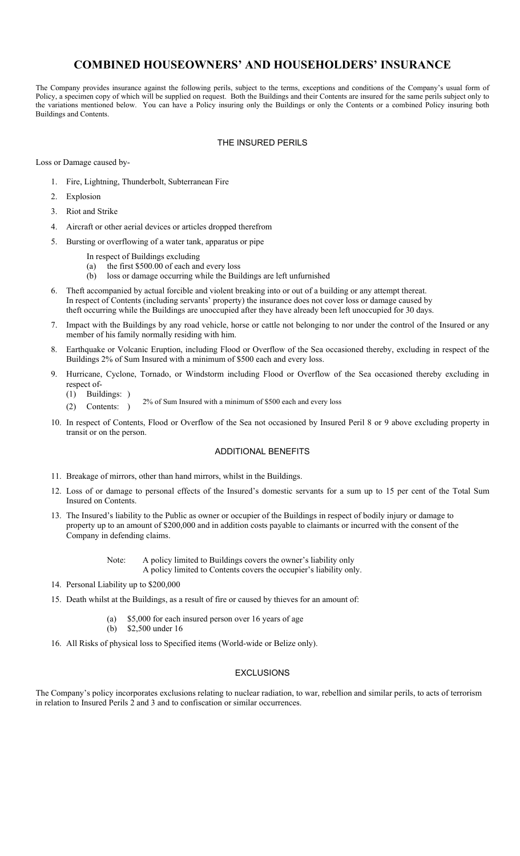#### **COMBINED HOUSEOWNERS' AND HOUSEHOLDERS' INSURANCE**

The Company provides insurance against the following perils, subject to the terms, exceptions and conditions of the Company's usual form of Policy, a specimen copy of which will be supplied on request. Both the Buildings and their Contents are insured for the same perils subject only to the variations mentioned below. You can have a Policy insuring only the Buildings or only the Contents or a combined Policy insuring both Buildings and Contents.

#### THE INSURED PERILS

Loss or Damage caused by-

- 1. Fire, Lightning, Thunderbolt, Subterranean Fire
- 2. Explosion
- 3. Riot and Strike
- 4. Aircraft or other aerial devices or articles dropped therefrom
- 5. Bursting or overflowing of a water tank, apparatus or pipe
	- In respect of Buildings excluding
	- (a) the first \$500.00 of each and every loss
	- (b) loss or damage occurring while the Buildings are left unfurnished
- Theft accompanied by actual forcible and violent breaking into or out of a building or any attempt thereat. In respect of Contents (including servants' property) the insurance does not cover loss or damage caused by theft occurring while the Buildings are unoccupied after they have already been left unoccupied for 30 days.
- 7. Impact with the Buildings by any road vehicle, horse or cattle not belonging to nor under the control of the Insured or any member of his family normally residing with him.
- 8. Earthquake or Volcanic Eruption, including Flood or Overflow of the Sea occasioned thereby, excluding in respect of the Buildings 2% of Sum Insured with a minimum of \$500 each and every loss.
- 9. Hurricane, Cyclone, Tornado, or Windstorm including Flood or Overflow of the Sea occasioned thereby excluding in respect of-
	- (1) Buildings: )
	- (2) Contents:  $\frac{2\%}{3}$  2% of Sum Insured with a minimum of \$500 each and every loss
- 10. In respect of Contents, Flood or Overflow of the Sea not occasioned by Insured Peril 8 or 9 above excluding property in transit or on the person.

#### ADDITIONAL BENEFITS

- 11. Breakage of mirrors, other than hand mirrors, whilst in the Buildings.
- 12. Loss of or damage to personal effects of the Insured's domestic servants for a sum up to 15 per cent of the Total Sum Insured on Contents.
- 13. The Insured's liability to the Public as owner or occupier of the Buildings in respect of bodily injury or damage to property up to an amount of \$200,000 and in addition costs payable to claimants or incurred with the consent of the Company in defending claims.

Note: A policy limited to Buildings covers the owner's liability only

A policy limited to Contents covers the occupier's liability only.

- 14. Personal Liability up to \$200,000
- 15. Death whilst at the Buildings, as a result of fire or caused by thieves for an amount of:
	- \$5,000 for each insured person over 16 years of age
	- (b) \$2,500 under 16
- 16. All Risks of physical loss to Specified items (World-wide or Belize only).

#### EXCLUSIONS

The Company's policy incorporates exclusions relating to nuclear radiation, to war, rebellion and similar perils, to acts of terrorism in relation to Insured Perils 2 and 3 and to confiscation or similar occurrences.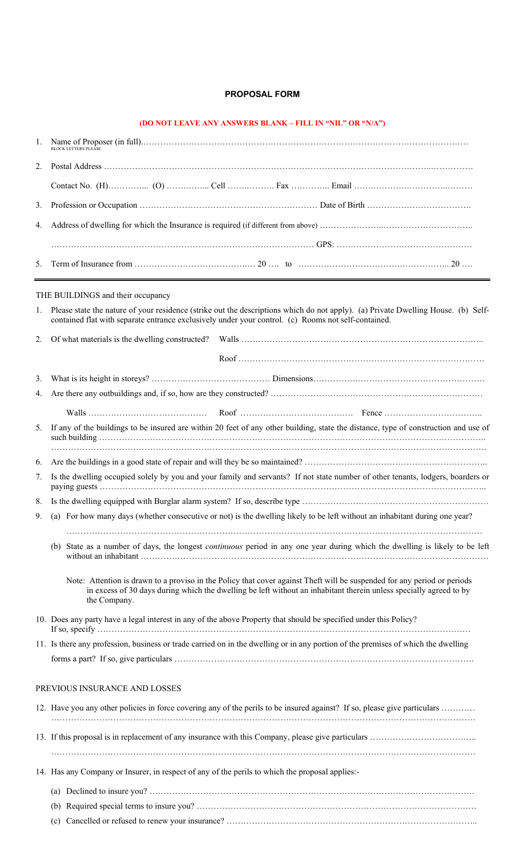#### **PROPOSAL FORM**

#### **(DO NOT LEAVE ANY ANSWERS BLANK – FILL IN "NIL" OR "N/A")**

| <b>BLOCK LETTERS PLEASE</b> |  |  |
|-----------------------------|--|--|
|                             |  |  |
|                             |  |  |
|                             |  |  |
|                             |  |  |
|                             |  |  |
|                             |  |  |

#### THE BUILDINGS and their occupancy

| Please state the nature of your residence (strike out the descriptions which do not apply). (a) Private Dwelling House. (b) Self-<br>1.<br>contained flat with separate entrance exclusively under your control. (c) Rooms not self-contained. |                                                                                                                                     |                                                                                                                                                                                                                                                                                                                                                                                      |  |
|------------------------------------------------------------------------------------------------------------------------------------------------------------------------------------------------------------------------------------------------|-------------------------------------------------------------------------------------------------------------------------------------|--------------------------------------------------------------------------------------------------------------------------------------------------------------------------------------------------------------------------------------------------------------------------------------------------------------------------------------------------------------------------------------|--|
| 2.                                                                                                                                                                                                                                             |                                                                                                                                     |                                                                                                                                                                                                                                                                                                                                                                                      |  |
|                                                                                                                                                                                                                                                |                                                                                                                                     |                                                                                                                                                                                                                                                                                                                                                                                      |  |
| 3.                                                                                                                                                                                                                                             |                                                                                                                                     |                                                                                                                                                                                                                                                                                                                                                                                      |  |
| 4.                                                                                                                                                                                                                                             |                                                                                                                                     |                                                                                                                                                                                                                                                                                                                                                                                      |  |
|                                                                                                                                                                                                                                                |                                                                                                                                     |                                                                                                                                                                                                                                                                                                                                                                                      |  |
| 5 <sub>1</sub>                                                                                                                                                                                                                                 | If any of the buildings to be insured are within 20 feet of any other building, state the distance, type of construction and use of |                                                                                                                                                                                                                                                                                                                                                                                      |  |
| 6.                                                                                                                                                                                                                                             |                                                                                                                                     |                                                                                                                                                                                                                                                                                                                                                                                      |  |
| 7.                                                                                                                                                                                                                                             | Is the dwelling occupied solely by you and your family and servants? If not state number of other tenants, lodgers, boarders or     |                                                                                                                                                                                                                                                                                                                                                                                      |  |
| 8.                                                                                                                                                                                                                                             |                                                                                                                                     |                                                                                                                                                                                                                                                                                                                                                                                      |  |
| 9.                                                                                                                                                                                                                                             |                                                                                                                                     | (a) For how many days (whether consecutive or not) is the dwelling likely to be left without an inhabitant during one year?                                                                                                                                                                                                                                                          |  |
|                                                                                                                                                                                                                                                | the Company.                                                                                                                        | (b) State as a number of days, the longest <i>continuous</i> period in any one year during which the dwelling is likely to be left<br>Note: Attention is drawn to a proviso in the Policy that cover against Theft will be suspended for any period or periods<br>in excess of 30 days during which the dwelling be left without an inhabitant therein unless specially agreed to by |  |
|                                                                                                                                                                                                                                                | 10. Does any party have a legal interest in any of the above Property that should be specified under this Policy?                   |                                                                                                                                                                                                                                                                                                                                                                                      |  |
|                                                                                                                                                                                                                                                | 11. Is there any profession, business or trade carried on in the dwelling or in any portion of the premises of which the dwelling   |                                                                                                                                                                                                                                                                                                                                                                                      |  |
|                                                                                                                                                                                                                                                |                                                                                                                                     |                                                                                                                                                                                                                                                                                                                                                                                      |  |
|                                                                                                                                                                                                                                                | PREVIOUS INSURANCE AND LOSSES                                                                                                       |                                                                                                                                                                                                                                                                                                                                                                                      |  |
|                                                                                                                                                                                                                                                |                                                                                                                                     | 12. Have you any other policies in force covering any of the perils to be insured against? If so, please give particulars                                                                                                                                                                                                                                                            |  |
|                                                                                                                                                                                                                                                |                                                                                                                                     |                                                                                                                                                                                                                                                                                                                                                                                      |  |
|                                                                                                                                                                                                                                                | 14. Has any Company or Insurer, in respect of any of the perils to which the proposal applies:-                                     |                                                                                                                                                                                                                                                                                                                                                                                      |  |
|                                                                                                                                                                                                                                                |                                                                                                                                     |                                                                                                                                                                                                                                                                                                                                                                                      |  |
|                                                                                                                                                                                                                                                |                                                                                                                                     |                                                                                                                                                                                                                                                                                                                                                                                      |  |
|                                                                                                                                                                                                                                                | (c)                                                                                                                                 |                                                                                                                                                                                                                                                                                                                                                                                      |  |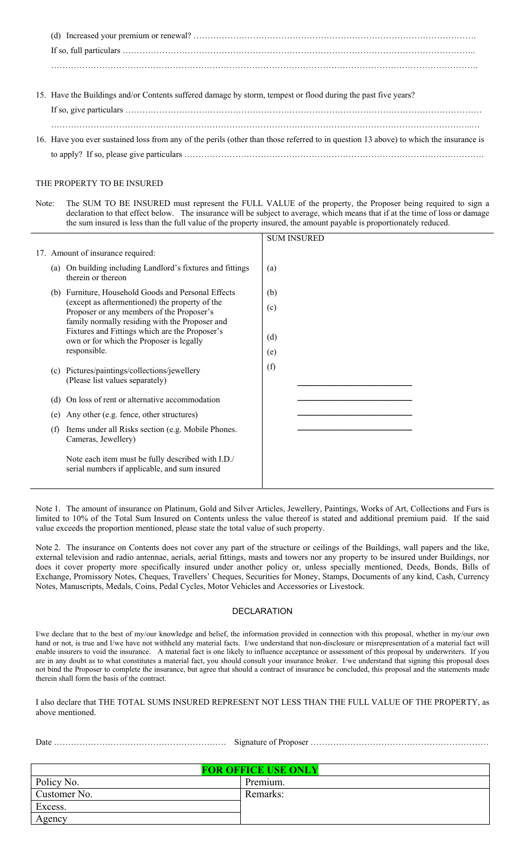(d) Increased your premium or renewal? ………………………………………………………………………………………. If so, full particulars …………………………………………………………………………………………………………….. …………………………………………………………………………………………………………………………………….

15. Have the Buildings and/or Contents suffered damage by storm, tempest or flood during the past five years?

| 16. Have you ever sustained loss from any of the perils (other than those referred to in question 13 above) to which the insurance is |
|---------------------------------------------------------------------------------------------------------------------------------------|
|                                                                                                                                       |

#### THE PROPERTY TO BE INSURED

Note: The SUM TO BE INSURED must represent the FULL VALUE of the property, the Proposer being required to sign a declaration to that effect below. The insurance will be subject to average, which means that if at the time of loss or damage the sum insured is less than the full value of the property insured, the amount payable is proportionately reduced.

|     |                                                                                                                                                                                                                                                                                                                    | <b>SUM INSURED</b>       |
|-----|--------------------------------------------------------------------------------------------------------------------------------------------------------------------------------------------------------------------------------------------------------------------------------------------------------------------|--------------------------|
|     | 17. Amount of insurance required:                                                                                                                                                                                                                                                                                  |                          |
| (a) | On building including Landlord's fixtures and fittings<br>therein or thereon                                                                                                                                                                                                                                       | (a)                      |
|     | (b) Furniture, Household Goods and Personal Effects<br>(except as aftermentioned) the property of the<br>Proposer or any members of the Proposer's<br>family normally residing with the Proposer and<br>Fixtures and Fittings which are the Proposer's<br>own or for which the Proposer is legally<br>responsible. | (b)<br>(c)<br>(d)<br>(e) |
| (c) | Pictures/paintings/collections/jewellery<br>(Please list values separately)                                                                                                                                                                                                                                        | (f)                      |
| (d) | On loss of rent or alternative accommodation                                                                                                                                                                                                                                                                       |                          |
| (e) | Any other (e.g. fence, other structures)                                                                                                                                                                                                                                                                           |                          |
| (f) | Items under all Risks section (e.g. Mobile Phones.<br>Cameras, Jewellery)                                                                                                                                                                                                                                          |                          |
|     | Note each item must be fully described with I.D./<br>serial numbers if applicable, and sum insured                                                                                                                                                                                                                 |                          |

Note 1. The amount of insurance on Platinum, Gold and Silver Articles, Jewellery, Paintings, Works of Art, Collections and Furs is limited to 10% of the Total Sum Insured on Contents unless the value thereof is stated and additional premium paid. If the said value exceeds the proportion mentioned, please state the total value of such property.

Note 2. The insurance on Contents does not cover any part of the structure or ceilings of the Buildings, wall papers and the like, external television and radio antennae, aerials, aerial fittings, masts and towers nor any property to be insured under Buildings, nor does it cover property more specifically insured under another policy or, unless specially mentioned, Deeds, Bonds, Bills of Exchange, Promissory Notes, Cheques, Travellers' Cheques, Securities for Money, Stamps, Documents of any kind, Cash, Currency Notes, Manuscripts, Medals, Coins, Pedal Cycles, Motor Vehicles and Accessories or Livestock.

#### DECLARATION

I/we declare that to the best of my/our knowledge and belief, the information provided in connection with this proposal, whether in my/our own hand or not, is true and I/we have not withheld any material facts. I/we understand that non-disclosure or misrepresentation of a material fact will enable insurers to void the insurance. A material fact is one likely to influence acceptance or assessment of this proposal by underwriters. If you are in any doubt as to what constitutes a material fact, you should consult your insurance broker. I/we understand that signing this proposal does not bind the Proposer to complete the insurance, but agree that should a contract of insurance be concluded, this proposal and the statements made therein shall form the basis of the contract.

I also declare that THE TOTAL SUMS INSURED REPRESENT NOT LESS THAN THE FULL VALUE OF THE PROPERTY, as above mentioned.

Date ……………………………………………………. Signature of Proposer ………………………………………………………

| <b>FOR OFFICE USE ONLY</b> |          |  |  |  |
|----------------------------|----------|--|--|--|
| Policy No.                 | Premium. |  |  |  |
| Customer No.               | Remarks: |  |  |  |
| Excess.                    |          |  |  |  |
| Agency                     |          |  |  |  |